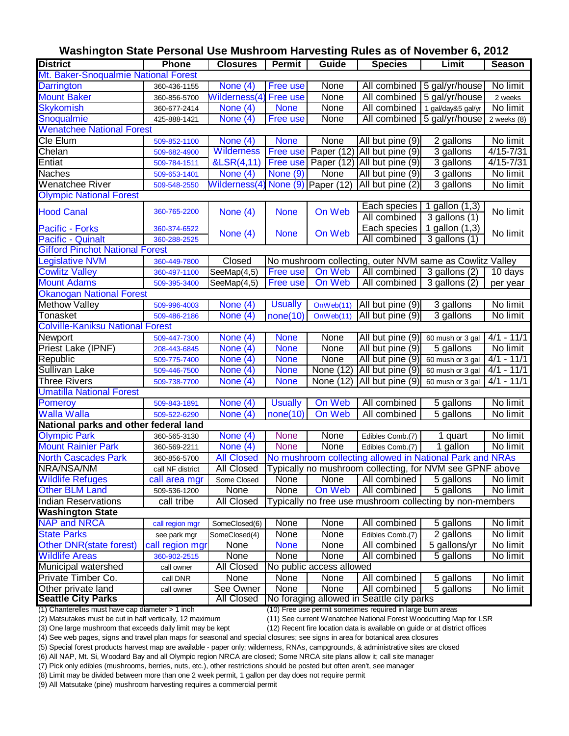|                                                         |                  | Washington State Personal Use Mushroom Harvesting Rules as of November 6, 2012 |                 |                          |                                                               |                             |               |
|---------------------------------------------------------|------------------|--------------------------------------------------------------------------------|-----------------|--------------------------|---------------------------------------------------------------|-----------------------------|---------------|
| <b>District</b>                                         | <b>Phone</b>     | <b>Closures</b>                                                                | <b>Permit</b>   | <b>Guide</b>             | <b>Species</b>                                                | Limit                       | <b>Season</b> |
| Mt. Baker-Snoqualmie National Forest                    |                  |                                                                                |                 |                          |                                                               |                             |               |
| <b>Darrington</b>                                       | 360-436-1155     | None (4)                                                                       | <b>Free use</b> | None                     |                                                               | All combined 5 gal/yr/house | No limit      |
| <b>Mount Baker</b>                                      | 360-856-5700     | Wilderness(4)                                                                  | <b>Free use</b> | None                     | All combined                                                  | 5 gal/yr/house              | 2 weeks       |
| <b>Skykomish</b>                                        | 360-677-2414     | None (4)                                                                       | <b>None</b>     | None                     | All combined                                                  | 1 gal/day&5 gal/yr          | No limit      |
| Snoqualmie                                              | 425-888-1421     | None (4)                                                                       | Free use        | None                     | All combined                                                  | 5 gal/yr/house              | 2 weeks $(8)$ |
| <b>Wenatchee National Forest</b>                        |                  |                                                                                |                 |                          |                                                               |                             |               |
| Cle Elum                                                | 509-852-1100     | None (4)                                                                       | <b>None</b>     | None                     | All but pine (9)                                              | 2 gallons                   | No limit      |
| Chelan                                                  | 509-682-4900     | Wilderness                                                                     | <b>Free use</b> |                          | Paper (12) All but pine (9)                                   | 3 gallons                   | $4/15 - 7/31$ |
| Entiat                                                  | 509-784-1511     | &LSR(4,11)                                                                     | Free use        |                          | Paper $(12)$ All but pine $(9)$                               | 3 gallons                   | $4/15 - 7/31$ |
| <b>Naches</b>                                           | 509-653-1401     | $\overline{\text{None}}$ (4)                                                   | None (9)        | None                     | All but pine (9)                                              | 3 gallons                   | No limit      |
| Wenatchee River                                         | 509-548-2550     | Wilderness(4)                                                                  |                 | None $(9)$ Paper (12)    | All but pine (2)                                              | 3 gallons                   | No limit      |
| <b>Olympic National Forest</b>                          |                  |                                                                                |                 |                          |                                                               |                             |               |
|                                                         |                  |                                                                                |                 |                          | Each species                                                  | 1 gallon (1,3)              |               |
| <b>Hood Canal</b>                                       | 360-765-2200     | None $(4)$                                                                     | <b>None</b>     | On Web                   | All combined                                                  | 3 gallons (1)               | No limit      |
| <b>Pacific - Forks</b>                                  | 360-374-6522     |                                                                                |                 |                          | Each species                                                  | 1 gallon (1,3)              |               |
| <b>Pacific - Quinalt</b>                                | 360-288-2525     | None $(4)$                                                                     | <b>None</b>     | On Web                   | All combined                                                  | 3 gallons (1)               | No limit      |
| <b>Gifford Pinchot National Forest</b>                  |                  |                                                                                |                 |                          |                                                               |                             |               |
| egislative NVM                                          | 360-449-7800     | Closed                                                                         |                 |                          | No mushroom collecting, outer NVM same as Cowlitz Valley      |                             |               |
| <b>Cowlitz Valley</b>                                   | 360-497-1100     | SeeMap(4,5)                                                                    | Free use        | On Web                   | All combined                                                  | 3 gallons (2)               | 10 days       |
| <b>Mount Adams</b>                                      | 509-395-3400     | SeeMap(4,5)                                                                    | Free use        | On Web                   | All combined                                                  | 3 gallons (2)               | per year      |
| <b>Okanogan National Forest</b>                         |                  |                                                                                |                 |                          |                                                               |                             |               |
| <b>Methow Valley</b>                                    | 509-996-4003     | None (4)                                                                       | <b>Usually</b>  | OnWeb(11)                | All but pine (9)                                              | 3 gallons                   | No limit      |
| Tonasket                                                | 509-486-2186     | None (4)                                                                       | none(10)        | OnWeb(11)                | All but pine (9)                                              | 3 gallons                   | No limit      |
| <b>Colville-Kaniksu National Forest</b>                 |                  |                                                                                |                 |                          |                                                               |                             |               |
| Newport                                                 | 509-447-7300     | None (4)                                                                       | <b>None</b>     | None                     | All but pine (9)                                              | 60 mush or 3 gal            | $4/1 - 11/1$  |
| Priest Lake (IPNF)                                      | 208-443-6845     | None (4)                                                                       | <b>None</b>     | None                     | All but pine (9)                                              | 5 gallons                   | No limit      |
| Republic                                                | 509-775-7400     | None (4)                                                                       | <b>None</b>     | None                     | All but pine (9)                                              | 60 mush or 3 gal            | $4/1 - 11/1$  |
| <b>Sullivan Lake</b>                                    | 509-446-7500     | None (4)                                                                       | <b>None</b>     | None (12)                | All but pine (9)                                              | 60 mush or 3 gal            | $4/1 - 11/1$  |
| <b>Three Rivers</b>                                     | 509-738-7700     | None (4)                                                                       | <b>None</b>     | None (12)                | All but pine (9)                                              | 60 mush or 3 gal            | $4/1 - 11/1$  |
| <b>Umatilla National Forest</b>                         |                  |                                                                                |                 |                          |                                                               |                             |               |
| <b>Pomeroy</b>                                          | 509-843-1891     | None $(4)$                                                                     | <b>Usually</b>  | On Web                   | All combined                                                  | 5 gallons                   | No limit      |
| <b>Walla Walla</b>                                      | 509-522-6290     | None (4)                                                                       | none(10)        | On Web                   | All combined                                                  | 5 gallons                   | No limit      |
| National parks and other federal land                   |                  |                                                                                |                 |                          |                                                               |                             |               |
| <b>Olympic Park</b>                                     | 360-565-3130     | None $(4)$                                                                     | <b>None</b>     | None                     | Edibles Comb.(7)                                              | 1 quart                     | No limit      |
| <b>Mount Rainier Park</b>                               | 360-569-2211     | $\overline{\text{None}}$ (4)                                                   | <b>None</b>     | <b>None</b>              | Edibles Comb.(7)                                              | 1 gallon                    | No limit      |
| <b>North Cascades Park</b>                              | 360-856-5700     | <b>All Closed</b>                                                              |                 |                          | No mushroom collecting allowed in National Park and NRAs      |                             |               |
| NRA/NSA/NM                                              | call NF district | All Closed                                                                     |                 |                          | Typically no mushroom collecting, for NVM see GPNF above      |                             |               |
| <b>Wildlife Refuges</b>                                 | call area mgr    | Some Closed                                                                    | None            | None                     | All combined                                                  | 5 gallons                   | No limit      |
| <b>Other BLM Land</b>                                   | 509-536-1200     | None                                                                           | None            | On Web                   | All combined                                                  | 5 gallons                   | No limit      |
| Indian Reservations                                     | call tribe       | All Closed                                                                     |                 |                          | Typically no free use mushroom collecting by non-members      |                             |               |
| <b>Washington State</b>                                 |                  |                                                                                |                 |                          |                                                               |                             |               |
| <b>NAP and NRCA</b>                                     | call region mgr  | SomeClosed(6)                                                                  | None            | None                     | All combined                                                  | 5 gallons                   | No limit      |
| <b>State Parks</b>                                      | see park mgr     | SomeClosed(4)                                                                  | <b>None</b>     | None                     | Edibles Comb.(7)                                              | 2 gallons                   | No limit      |
| Other DNR(state forest)                                 | call region mgr  | None                                                                           | <b>None</b>     | None                     | All combined                                                  | 5 gallons/yr                | No limit      |
| <b>Wildlife Areas</b>                                   | 360-902-2515     | None                                                                           | None            | None                     | All combined                                                  | 5 gallons                   | No limit      |
| Municipal watershed                                     | call owner       | All Closed                                                                     |                 | No public access allowed |                                                               |                             |               |
| Private Timber Co.                                      | call DNR         | None                                                                           | None            | None                     | All combined                                                  | 5 gallons                   | No limit      |
| Other private land                                      | call owner       | See Owner                                                                      | None            | None                     | All combined                                                  | 5 gallons                   | No limit      |
| <b>Seattle City Parks</b>                               |                  | <b>All Closed</b>                                                              |                 |                          | No foraging allowed in Seattle city parks                     |                             |               |
| $(1)$ Chanterelles must have san diameter $\sim$ 1 inch |                  |                                                                                |                 |                          | $(10)$ Ereo use permit semetimes required in large burn areas |                             |               |

**Washington State Personal Use Mushroom Harvesting Rules as of November 6, 2012**

(1) Chanterelles must have cap diameter > 1 inch

(10) Free use permit sometimes required in large burn areas

(2) Matsutakes must be cut in half vertically, 12 maximum (11) See current Wenatchee National Forest Woodcutting Map for LSR

(3) One large mushroom that exceeds daily limit may be kept

(12) Recent fire location data is available on guide or at district offices (4) See web pages, signs and travel plan maps for seasonal and special closures; see signs in area for botanical area closures

(5) Special forest products harvest map are available - paper only; wilderness, RNAs, campgrounds, & administrative sites are closed

(6) All NAP, Mt. Si, Woodard Bay and all Olympic region NRCA are closed; Some NRCA site plans allow it; call site manager

(7) Pick only edibles (mushrooms, berries, nuts, etc.), other restrictions should be posted but often aren't, see manager

(8) Limit may be divided between more than one 2 week permit, 1 gallon per day does not require permit

(9) All Matsutake (pine) mushroom harvesting requires a commercial permit